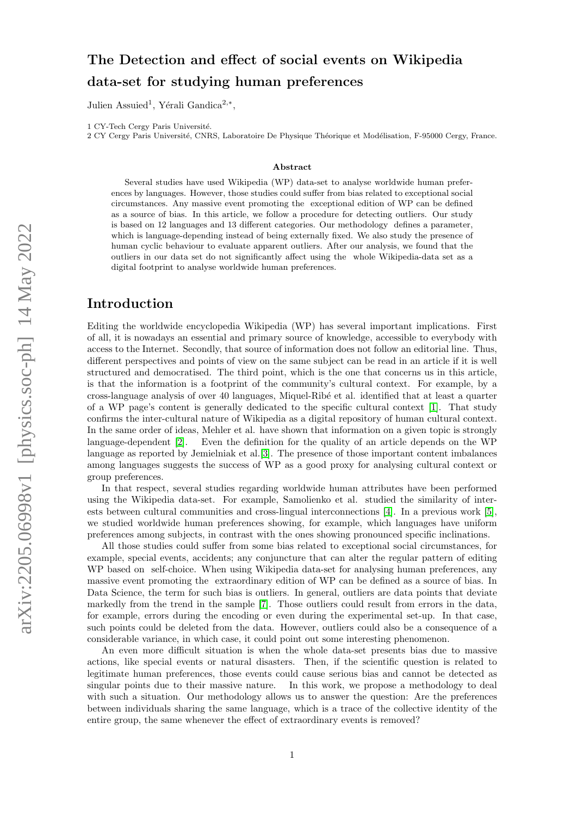# The Detection and effect of social events on Wikipedia data-set for studying human preferences

Julien Assuied<sup>1</sup>, Yérali Gandica<sup>2,\*</sup>,

1 CY-Tech Cergy Paris Université.

2 CY Cergy Paris Université, CNRS, Laboratoire De Physique Théorique et Modélisation, F-95000 Cergy, France.

#### Abstract

Several studies have used Wikipedia (WP) data-set to analyse worldwide human preferences by languages. However, those studies could suffer from bias related to exceptional social circumstances. Any massive event promoting the exceptional edition of WP can be defined as a source of bias. In this article, we follow a procedure for detecting outliers. Our study is based on 12 languages and 13 different categories. Our methodology defines a parameter, which is language-depending instead of being externally fixed. We also study the presence of human cyclic behaviour to evaluate apparent outliers. After our analysis, we found that the outliers in our data set do not significantly affect using the whole Wikipedia-data set as a digital footprint to analyse worldwide human preferences.

#### Introduction

Editing the worldwide encyclopedia Wikipedia (WP) has several important implications. First of all, it is nowadays an essential and primary source of knowledge, accessible to everybody with access to the Internet. Secondly, that source of information does not follow an editorial line. Thus, different perspectives and points of view on the same subject can be read in an article if it is well structured and democratised. The third point, which is the one that concerns us in this article, is that the information is a footprint of the community's cultural context. For example, by a cross-language analysis of over 40 languages, Miquel-Rib´e et al. identified that at least a quarter of a WP page's content is generally dedicated to the specific cultural context [\[1\]](#page-6-0). That study confirms the inter-cultural nature of Wikipedia as a digital repository of human cultural context. In the same order of ideas, Mehler et al. have shown that information on a given topic is strongly language-dependent [\[2\]](#page-6-1). Even the definition for the quality of an article depends on the WP language as reported by Jemielniak et al.[\[3\]](#page-6-2). The presence of those important content imbalances among languages suggests the success of WP as a good proxy for analysing cultural context or group preferences.

In that respect, several studies regarding worldwide human attributes have been performed using the Wikipedia data-set. For example, Samolienko et al. studied the similarity of interests between cultural communities and cross-lingual interconnections [\[4\]](#page-6-3). In a previous work [\[5\]](#page-6-4), we studied worldwide human preferences showing, for example, which languages have uniform preferences among subjects, in contrast with the ones showing pronounced specific inclinations.

All those studies could suffer from some bias related to exceptional social circumstances, for example, special events, accidents; any conjuncture that can alter the regular pattern of editing WP based on self-choice. When using Wikipedia data-set for analysing human preferences, any massive event promoting the extraordinary edition of WP can be defined as a source of bias. In Data Science, the term for such bias is outliers. In general, outliers are data points that deviate markedly from the trend in the sample [\[7\]](#page-6-5). Those outliers could result from errors in the data, for example, errors during the encoding or even during the experimental set-up. In that case, such points could be deleted from the data. However, outliers could also be a consequence of a considerable variance, in which case, it could point out some interesting phenomenon.

An even more difficult situation is when the whole data-set presents bias due to massive actions, like special events or natural disasters. Then, if the scientific question is related to legitimate human preferences, those events could cause serious bias and cannot be detected as singular points due to their massive nature. In this work, we propose a methodology to deal with such a situation. Our methodology allows us to answer the question: Are the preferences between individuals sharing the same language, which is a trace of the collective identity of the entire group, the same whenever the effect of extraordinary events is removed?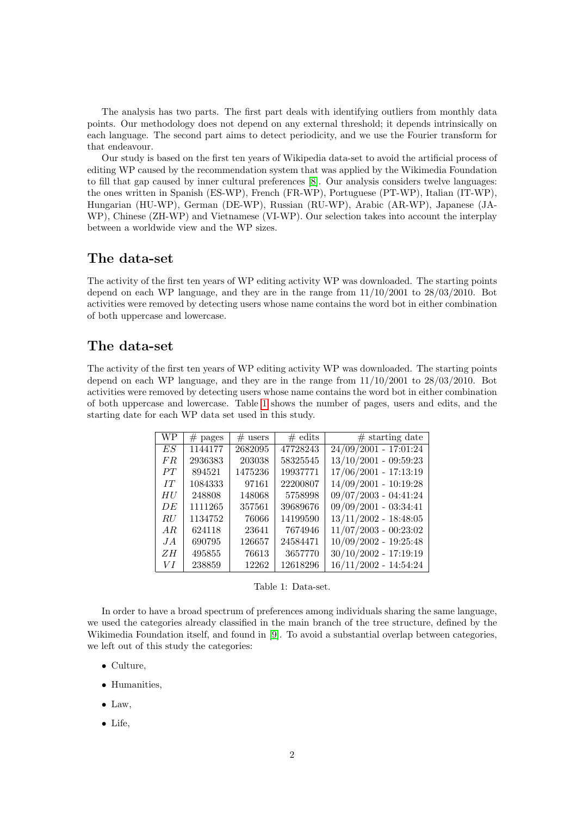The analysis has two parts. The first part deals with identifying outliers from monthly data points. Our methodology does not depend on any external threshold; it depends intrinsically on each language. The second part aims to detect periodicity, and we use the Fourier transform for that endeavour.

Our study is based on the first ten years of Wikipedia data-set to avoid the artificial process of editing WP caused by the recommendation system that was applied by the Wikimedia Foundation to fill that gap caused by inner cultural preferences [\[8\]](#page-6-6). Our analysis considers twelve languages: the ones written in Spanish (ES-WP), French (FR-WP), Portuguese (PT-WP), Italian (IT-WP), Hungarian (HU-WP), German (DE-WP), Russian (RU-WP), Arabic (AR-WP), Japanese (JA-WP), Chinese (ZH-WP) and Vietnamese (VI-WP). Our selection takes into account the interplay between a worldwide view and the WP sizes.

#### The data-set

The activity of the first ten years of WP editing activity WP was downloaded. The starting points depend on each WP language, and they are in the range from 11/10/2001 to 28/03/2010. Bot activities were removed by detecting users whose name contains the word bot in either combination of both uppercase and lowercase.

### The data-set

<span id="page-1-0"></span>The activity of the first ten years of WP editing activity WP was downloaded. The starting points depend on each WP language, and they are in the range from 11/10/2001 to 28/03/2010. Bot activities were removed by detecting users whose name contains the word bot in either combination of both uppercase and lowercase. Table [1](#page-1-0) shows the number of pages, users and edits, and the starting date for each WP data set used in this study.

| WР  | $#$ pages | $#$ users | $\#$ edits | $#$ starting date       |
|-----|-----------|-----------|------------|-------------------------|
| ES  | 1144177   | 2682095   | 47728243   | $24/09/2001 - 17:01:24$ |
| F R | 2936383   | 203038    | 58325545   | $13/10/2001 - 09:59:23$ |
| PT  | 894521    | 1475236   | 19937771   | $17/06/2001 - 17:13:19$ |
| IT  | 1084333   | 97161     | 22200807   | $14/09/2001 - 10:19:28$ |
| HU  | 248808    | 148068    | 5758998    | $09/07/2003 - 04:41:24$ |
| DE  | 1111265   | 357561    | 39689676   | $09/09/2001 - 03:34:41$ |
| RU  | 1134752   | 76066     | 14199590   | $13/11/2002 - 18:48:05$ |
| AR  | 624118    | 23641     | 7674946    | $11/07/2003 - 00:23:02$ |
| JA  | 690795    | 126657    | 24584471   | $10/09/2002 - 19:25:48$ |
| ZΗ  | 495855    | 76613     | 3657770    | $30/10/2002 - 17:19:19$ |
| VΙ  | 238859    | 12262     | 12618296   | $16/11/2002 - 14:54:24$ |

Table 1: Data-set.

In order to have a broad spectrum of preferences among individuals sharing the same language, we used the categories already classified in the main branch of the tree structure, defined by the Wikimedia Foundation itself, and found in [\[9\]](#page-7-0). To avoid a substantial overlap between categories, we left out of this study the categories:

- Culture,
- Humanities,
- $\bullet$  Law,
- Life,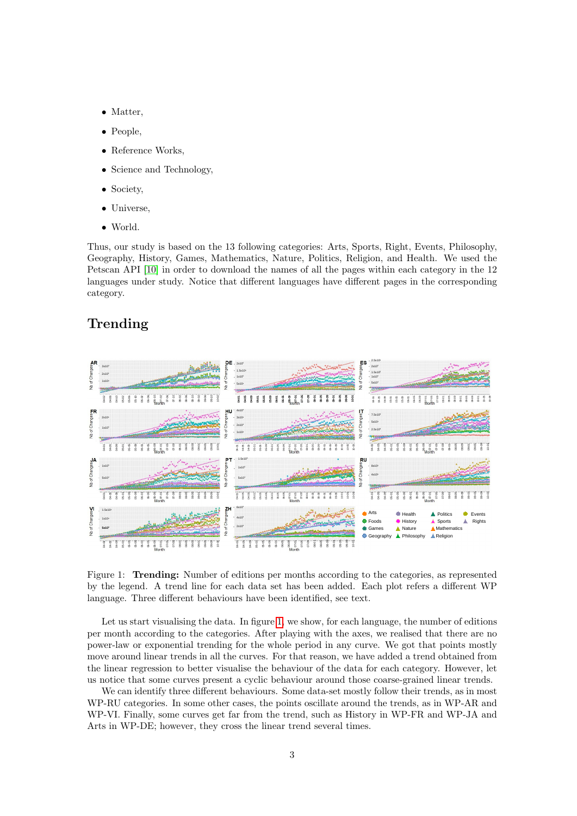- Matter,
- People,
- Reference Works.
- Science and Technology,
- Society,
- Universe,
- World.

Thus, our study is based on the 13 following categories: Arts, Sports, Right, Events, Philosophy, Geography, History, Games, Mathematics, Nature, Politics, Religion, and Health. We used the Petscan API [\[10\]](#page-7-1) in order to download the names of all the pages within each category in the 12 languages under study. Notice that different languages have different pages in the corresponding category.

### Trending

<span id="page-2-0"></span>

Figure 1: Trending: Number of editions per months according to the categories, as represented by the legend. A trend line for each data set has been added. Each plot refers a different WP language. Three different behaviours have been identified, see text.

Let us start visualising the data. In figure [1,](#page-2-0) we show, for each language, the number of editions per month according to the categories. After playing with the axes, we realised that there are no power-law or exponential trending for the whole period in any curve. We got that points mostly move around linear trends in all the curves. For that reason, we have added a trend obtained from the linear regression to better visualise the behaviour of the data for each category. However, let us notice that some curves present a cyclic behaviour around those coarse-grained linear trends.

We can identify three different behaviours. Some data-set mostly follow their trends, as in most WP-RU categories. In some other cases, the points oscillate around the trends, as in WP-AR and WP-VI. Finally, some curves get far from the trend, such as History in WP-FR and WP-JA and Arts in WP-DE; however, they cross the linear trend several times.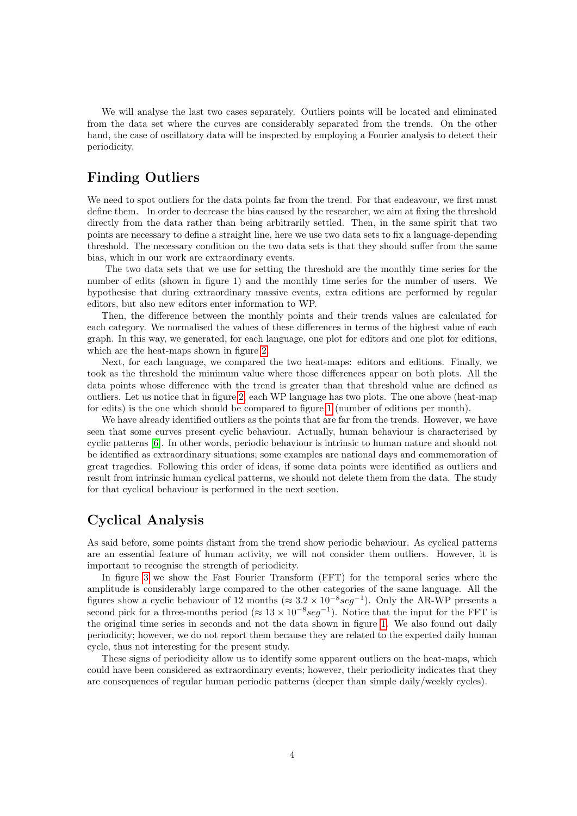We will analyse the last two cases separately. Outliers points will be located and eliminated from the data set where the curves are considerably separated from the trends. On the other hand, the case of oscillatory data will be inspected by employing a Fourier analysis to detect their periodicity.

## Finding Outliers

We need to spot outliers for the data points far from the trend. For that endeavour, we first must define them. In order to decrease the bias caused by the researcher, we aim at fixing the threshold directly from the data rather than being arbitrarily settled. Then, in the same spirit that two points are necessary to define a straight line, here we use two data sets to fix a language-depending threshold. The necessary condition on the two data sets is that they should suffer from the same bias, which in our work are extraordinary events.

The two data sets that we use for setting the threshold are the monthly time series for the number of edits (shown in figure 1) and the monthly time series for the number of users. We hypothesise that during extraordinary massive events, extra editions are performed by regular editors, but also new editors enter information to WP.

Then, the difference between the monthly points and their trends values are calculated for each category. We normalised the values of these differences in terms of the highest value of each graph. In this way, we generated, for each language, one plot for editors and one plot for editions, which are the heat-maps shown in figure [2.](#page-4-0)

Next, for each language, we compared the two heat-maps: editors and editions. Finally, we took as the threshold the minimum value where those differences appear on both plots. All the data points whose difference with the trend is greater than that threshold value are defined as outliers. Let us notice that in figure [2,](#page-4-0) each WP language has two plots. The one above (heat-map for edits) is the one which should be compared to figure [1](#page-2-0) (number of editions per month).

We have already identified outliers as the points that are far from the trends. However, we have seen that some curves present cyclic behaviour. Actually, human behaviour is characterised by cyclic patterns [\[6\]](#page-6-7). In other words, periodic behaviour is intrinsic to human nature and should not be identified as extraordinary situations; some examples are national days and commemoration of great tragedies. Following this order of ideas, if some data points were identified as outliers and result from intrinsic human cyclical patterns, we should not delete them from the data. The study for that cyclical behaviour is performed in the next section.

### Cyclical Analysis

As said before, some points distant from the trend show periodic behaviour. As cyclical patterns are an essential feature of human activity, we will not consider them outliers. However, it is important to recognise the strength of periodicity.

In figure [3](#page-5-0) we show the Fast Fourier Transform (FFT) for the temporal series where the amplitude is considerably large compared to the other categories of the same language. All the figures show a cyclic behaviour of 12 months ( $\approx 3.2 \times 10^{-8} \text{seg}^{-1}$ ). Only the AR-WP presents a second pick for a three-months period ( $\approx 13 \times 10^{-8} \text{seg}^{-1}$ ). Notice that the input for the FFT is the original time series in seconds and not the data shown in figure [1.](#page-2-0) We also found out daily periodicity; however, we do not report them because they are related to the expected daily human cycle, thus not interesting for the present study.

These signs of periodicity allow us to identify some apparent outliers on the heat-maps, which could have been considered as extraordinary events; however, their periodicity indicates that they are consequences of regular human periodic patterns (deeper than simple daily/weekly cycles).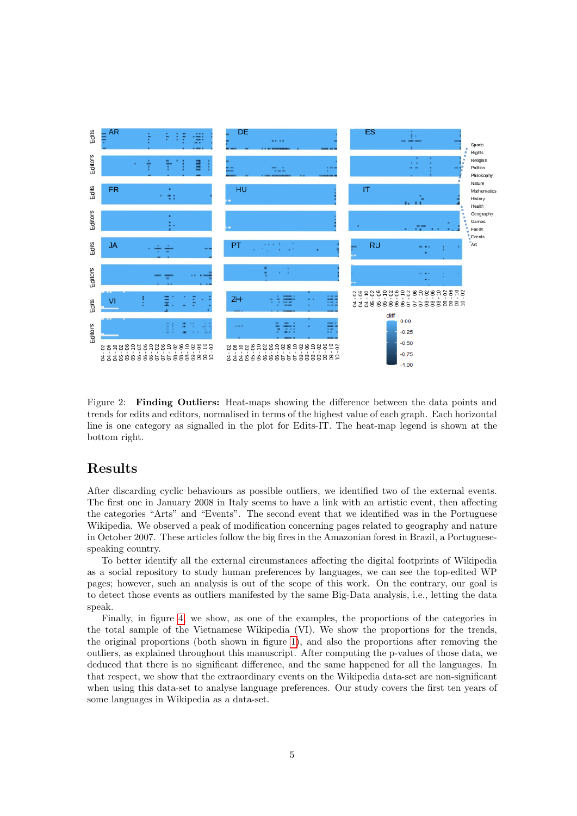<span id="page-4-0"></span>

Figure 2: Finding Outliers: Heat-maps showing the difference between the data points and trends for edits and editors, normalised in terms of the highest value of each graph. Each horizontal line is one category as signalled in the plot for Edits-IT. The heat-map legend is shown at the bottom right.

### Results

After discarding cyclic behaviours as possible outliers, we identified two of the external events. The first one in January 2008 in Italy seems to have a link with an artistic event, then affecting the categories "Arts" and "Events". The second event that we identified was in the Portuguese Wikipedia. We observed a peak of modification concerning pages related to geography and nature in October 2007. These articles follow the big fires in the Amazonian forest in Brazil, a Portuguesespeaking country.

To better identify all the external circumstances affecting the digital footprints of Wikipedia as a social repository to study human preferences by languages, we can see the top-edited WP pages; however, such an analysis is out of the scope of this work. On the contrary, our goal is to detect those events as outliers manifested by the same Big-Data analysis, i.e., letting the data speak.

Finally, in figure [4,](#page-6-8) we show, as one of the examples, the proportions of the categories in the total sample of the Vietnamese Wikipedia (VI). We show the proportions for the trends, the original proportions (both shown in figure [1\)](#page-2-0), and also the proportions after removing the outliers, as explained throughout this manuscript. After computing the p-values of those data, we deduced that there is no significant difference, and the same happened for all the languages. In that respect, we show that the extraordinary events on the Wikipedia data-set are non-significant when using this data-set to analyse language preferences. Our study covers the first ten years of some languages in Wikipedia as a data-set.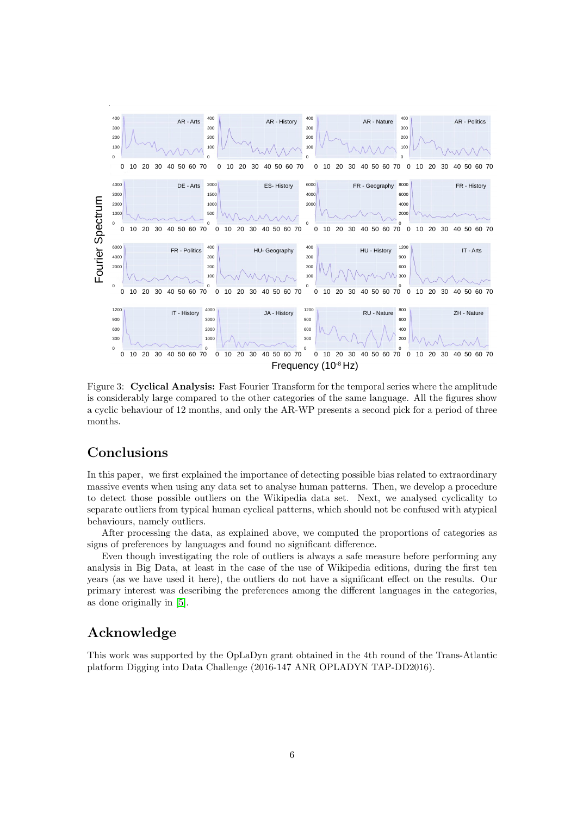<span id="page-5-0"></span>

Figure 3: Cyclical Analysis: Fast Fourier Transform for the temporal series where the amplitude is considerably large compared to the other categories of the same language. All the figures show a cyclic behaviour of 12 months, and only the AR-WP presents a second pick for a period of three months.

### Conclusions

In this paper, we first explained the importance of detecting possible bias related to extraordinary massive events when using any data set to analyse human patterns. Then, we develop a procedure to detect those possible outliers on the Wikipedia data set. Next, we analysed cyclicality to separate outliers from typical human cyclical patterns, which should not be confused with atypical behaviours, namely outliers.

After processing the data, as explained above, we computed the proportions of categories as signs of preferences by languages and found no significant difference.

Even though investigating the role of outliers is always a safe measure before performing any analysis in Big Data, at least in the case of the use of Wikipedia editions, during the first ten years (as we have used it here), the outliers do not have a significant effect on the results. Our primary interest was describing the preferences among the different languages in the categories, as done originally in [\[5\]](#page-6-4).

# Acknowledge

This work was supported by the OpLaDyn grant obtained in the 4th round of the Trans-Atlantic platform Digging into Data Challenge (2016-147 ANR OPLADYN TAP-DD2016).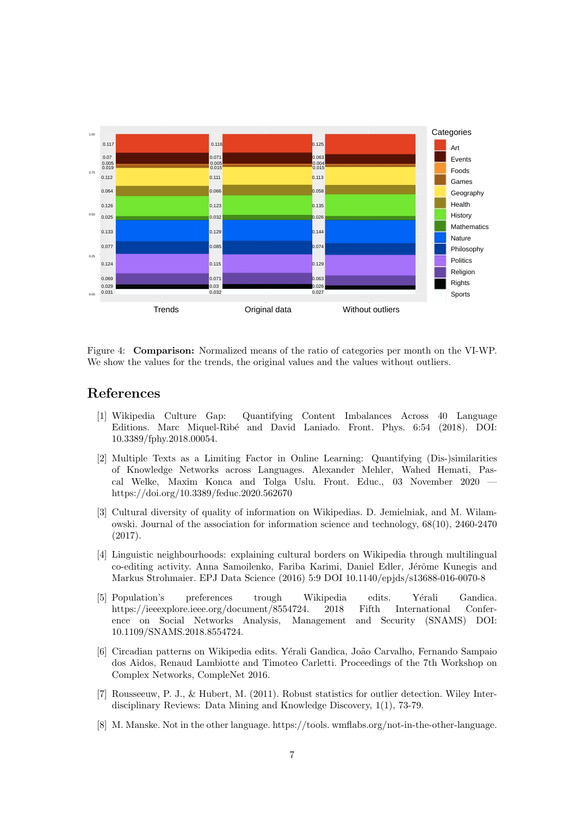<span id="page-6-8"></span>

Figure 4: Comparison: Normalized means of the ratio of categories per month on the VI-WP. We show the values for the trends, the original values and the values without outliers.

### References

- <span id="page-6-0"></span>[1] Wikipedia Culture Gap: Quantifying Content Imbalances Across 40 Language Editions. Marc Miquel-Rib´e and David Laniado. Front. Phys. 6:54 (2018). DOI: 10.3389/fphy.2018.00054.
- <span id="page-6-1"></span>[2] Multiple Texts as a Limiting Factor in Online Learning: Quantifying (Dis-)similarities of Knowledge Networks across Languages. Alexander Mehler, Wahed Hemati, Pascal Welke, Maxim Konca and Tolga Uslu. Front. Educ., 03 November 2020 https://doi.org/10.3389/feduc.2020.562670
- <span id="page-6-2"></span>[3] Cultural diversity of quality of information on Wikipedias. D. Jemielniak, and M. Wilamowski. Journal of the association for information science and technology, 68(10), 2460-2470 (2017).
- <span id="page-6-3"></span>[4] Linguistic neighbourhoods: explaining cultural borders on Wikipedia through multilingual co-editing activity. Anna Samoilenko, Fariba Karimi, Daniel Edler, Jérôme Kunegis and Markus Strohmaier. EPJ Data Science (2016) 5:9 DOI 10.1140/epjds/s13688-016-0070-8
- <span id="page-6-4"></span>[5] Population's preferences trough Wikipedia edits. Yérali Gandica. https://ieeexplore.ieee.org/document/8554724. 2018 Fifth International Conference on Social Networks Analysis, Management and Security (SNAMS) DOI: 10.1109/SNAMS.2018.8554724.
- <span id="page-6-7"></span>[6] Circadian patterns on Wikipedia edits. Y´erali Gandica, Jo˜ao Carvalho, Fernando Sampaio dos Aidos, Renaud Lambiotte and Timoteo Carletti. Proceedings of the 7th Workshop on Complex Networks, CompleNet 2016.
- <span id="page-6-5"></span>[7] Rousseeuw, P. J., & Hubert, M. (2011). Robust statistics for outlier detection. Wiley Interdisciplinary Reviews: Data Mining and Knowledge Discovery, 1(1), 73-79.
- <span id="page-6-6"></span>[8] M. Manske. Not in the other language. https://tools. wmflabs.org/not-in-the-other-language.